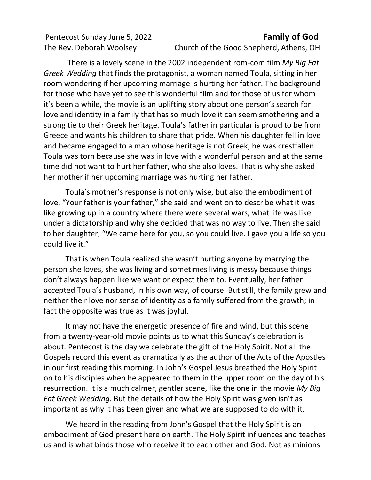## Pentecost Sunday June 5, 2022 **Family of God**

The Rev. Deborah Woolsey Church of the Good Shepherd, Athens, OH

There is a lovely scene in the 2002 independent rom-com film *My Big Fat Greek Wedding* that finds the protagonist, a woman named Toula, sitting in her room wondering if her upcoming marriage is hurting her father. The background for those who have yet to see this wonderful film and for those of us for whom it's been a while, the movie is an uplifting story about one person's search for love and identity in a family that has so much love it can seem smothering and a strong tie to their Greek heritage. Toula's father in particular is proud to be from Greece and wants his children to share that pride. When his daughter fell in love and became engaged to a man whose heritage is not Greek, he was crestfallen. Toula was torn because she was in love with a wonderful person and at the same time did not want to hurt her father, who she also loves. That is why she asked her mother if her upcoming marriage was hurting her father.

Toula's mother's response is not only wise, but also the embodiment of love. "Your father is your father," she said and went on to describe what it was like growing up in a country where there were several wars, what life was like under a dictatorship and why she decided that was no way to live. Then she said to her daughter, "We came here for you, so you could live. I gave you a life so you could live it."

That is when Toula realized she wasn't hurting anyone by marrying the person she loves, she was living and sometimes living is messy because things don't always happen like we want or expect them to. Eventually, her father accepted Toula's husband, in his own way, of course. But still, the family grew and neither their love nor sense of identity as a family suffered from the growth; in fact the opposite was true as it was joyful.

It may not have the energetic presence of fire and wind, but this scene from a twenty-year-old movie points us to what this Sunday's celebration is about. Pentecost is the day we celebrate the gift of the Holy Spirit. Not all the Gospels record this event as dramatically as the author of the Acts of the Apostles in our first reading this morning. In John's Gospel Jesus breathed the Holy Spirit on to his disciples when he appeared to them in the upper room on the day of his resurrection. It is a much calmer, gentler scene, like the one in the movie *My Big Fat Greek Wedding*. But the details of how the Holy Spirit was given isn't as important as why it has been given and what we are supposed to do with it.

We heard in the reading from John's Gospel that the Holy Spirit is an embodiment of God present here on earth. The Holy Spirit influences and teaches us and is what binds those who receive it to each other and God. Not as minions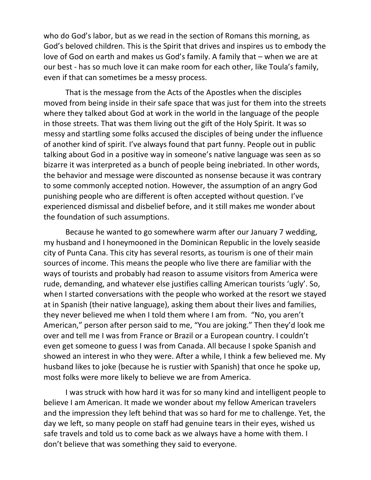who do God's labor, but as we read in the section of Romans this morning, as God's beloved children. This is the Spirit that drives and inspires us to embody the love of God on earth and makes us God's family. A family that – when we are at our best - has so much love it can make room for each other, like Toula's family, even if that can sometimes be a messy process.

That is the message from the Acts of the Apostles when the disciples moved from being inside in their safe space that was just for them into the streets where they talked about God at work in the world in the language of the people in those streets. That was them living out the gift of the Holy Spirit. It was so messy and startling some folks accused the disciples of being under the influence of another kind of spirit. I've always found that part funny. People out in public talking about God in a positive way in someone's native language was seen as so bizarre it was interpreted as a bunch of people being inebriated. In other words, the behavior and message were discounted as nonsense because it was contrary to some commonly accepted notion. However, the assumption of an angry God punishing people who are different is often accepted without question. I've experienced dismissal and disbelief before, and it still makes me wonder about the foundation of such assumptions.

Because he wanted to go somewhere warm after our January 7 wedding, my husband and I honeymooned in the Dominican Republic in the lovely seaside city of Punta Cana. This city has several resorts, as tourism is one of their main sources of income. This means the people who live there are familiar with the ways of tourists and probably had reason to assume visitors from America were rude, demanding, and whatever else justifies calling American tourists 'ugly'. So, when I started conversations with the people who worked at the resort we stayed at in Spanish (their native language), asking them about their lives and families, they never believed me when I told them where I am from. "No, you aren't American," person after person said to me, "You are joking." Then they'd look me over and tell me I was from France or Brazil or a European country. I couldn't even get someone to guess I was from Canada. All because I spoke Spanish and showed an interest in who they were. After a while, I think a few believed me. My husband likes to joke (because he is rustier with Spanish) that once he spoke up, most folks were more likely to believe we are from America.

I was struck with how hard it was for so many kind and intelligent people to believe I am American. It made we wonder about my fellow American travelers and the impression they left behind that was so hard for me to challenge. Yet, the day we left, so many people on staff had genuine tears in their eyes, wished us safe travels and told us to come back as we always have a home with them. I don't believe that was something they said to everyone.